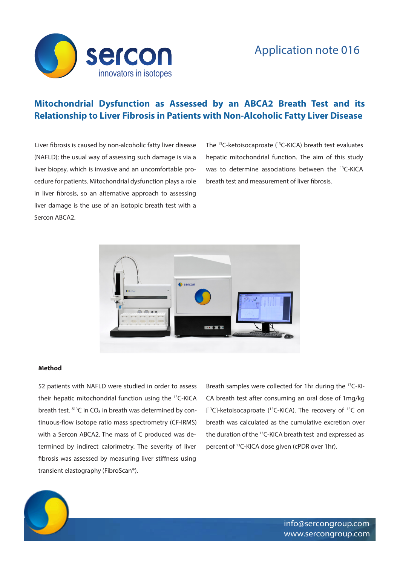

## **Mitochondrial Dysfunction as Assessed by an ABCA2 Breath Test and its Relationship to Liver Fibrosis in Patients with Non-Alcoholic Fatty Liver Disease**

Liver fibrosis is caused by non-alcoholic fatty liver disease (NAFLD); the usual way of assessing such damage is via a liver biopsy, which is invasive and an uncomfortable procedure for patients. Mitochondrial dysfunction plays a role in liver fibrosis, so an alternative approach to assessing liver damage is the use of an isotopic breath test with a Sercon ABCA2.

The 13C-ketoisocaproate (13C-KICA) breath test evaluates hepatic mitochondrial function. The aim of this study was to determine associations between the <sup>13</sup>C-KICA breath test and measurement of liver fibrosis.



## **Method**

52 patients with NAFLD were studied in order to assess their hepatic mitochondrial function using the 13C-KICA breath test. δ13C in CO2 in breath was determined by continuous-flow isotope ratio mass spectrometry (CF-IRMS) with a Sercon ABCA2. The mass of C produced was determined by indirect calorimetry. The severity of liver fibrosis was assessed by measuring liver stiffness using transient elastography (FibroScan®).

Breath samples were collected for 1hr during the 13C-KI-CA breath test after consuming an oral dose of 1mg/kg [<sup>13</sup>C]-ketoisocaproate (<sup>13</sup>C-KICA). The recovery of <sup>13</sup>C on breath was calculated as the cumulative excretion over the duration of the 13C-KICA breath test and expressed as percent of 13C-KICA dose given (cPDR over 1hr).